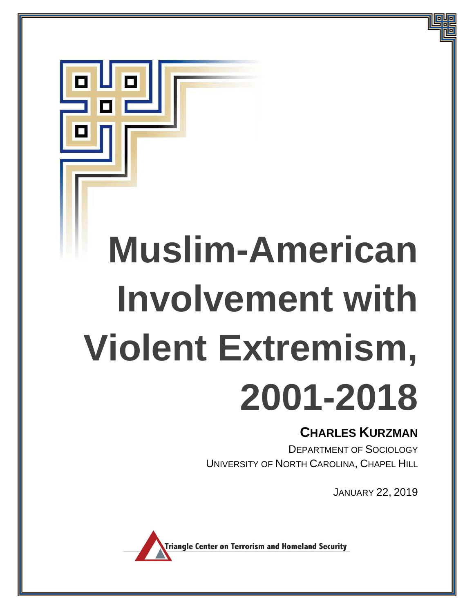# **Muslim-American Involvement with Violent Extremism, 2001-2018**

# **CHARLES KURZMAN**

DEPARTMENT OF SOCIOLOGY UNIVERSITY OF NORTH CAROLINA, CHAPEL HILL

JANUARY 22, 2019

**Triangle Center on Terrorism and Homeland Security** 

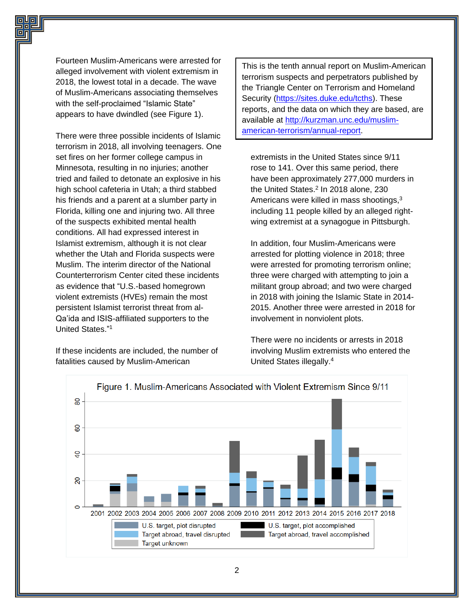Fourteen Muslim-Americans were arrested for alleged involvement with violent extremism in 2018, the lowest total in a decade. The wave of Muslim-Americans associating themselves with the self-proclaimed "Islamic State" appears to have dwindled (see Figure 1).

There were three possible incidents of Islamic terrorism in 2018, all involving teenagers. One set fires on her former college campus in Minnesota, resulting in no injuries; another tried and failed to detonate an explosive in his high school cafeteria in Utah; a third stabbed his friends and a parent at a slumber party in Florida, killing one and injuring two. All three of the suspects exhibited mental health conditions. All had expressed interest in Islamist extremism, although it is not clear whether the Utah and Florida suspects were Muslim. The interim director of the National Counterterrorism Center cited these incidents as evidence that "U.S.-based homegrown violent extremists (HVEs) remain the most persistent Islamist terrorist threat from al-Qa'ida and ISIS-affiliated supporters to the United States."<sup>1</sup>

If these incidents are included, the number of fatalities caused by Muslim-American

This is the tenth annual report on Muslim-American terrorism suspects and perpetrators published by the Triangle Center on Terrorism and Homeland Security [\(https://sites.duke.edu/tcths\)](https://sites.duke.edu/tcths). These reports, and the data on which they are based, are available at [http://kurzman.unc.edu/muslim](http://kurzman.unc.edu/muslim-american-terrorism/annual-report)[american-terrorism/annual-report.](http://kurzman.unc.edu/muslim-american-terrorism/annual-report)

extremists in the United States since 9/11 rose to 141. Over this same period, there have been approximately 277,000 murders in the United States.<sup>2</sup> In 2018 alone, 230 Americans were killed in mass shootings, $3$ including 11 people killed by an alleged rightwing extremist at a synagogue in Pittsburgh.

In addition, four Muslim-Americans were arrested for plotting violence in 2018; three were arrested for promoting terrorism online; three were charged with attempting to join a militant group abroad; and two were charged in 2018 with joining the Islamic State in 2014- 2015. Another three were arrested in 2018 for involvement in nonviolent plots.

There were no incidents or arrests in 2018 involving Muslim extremists who entered the United States illegally.<sup>4</sup>

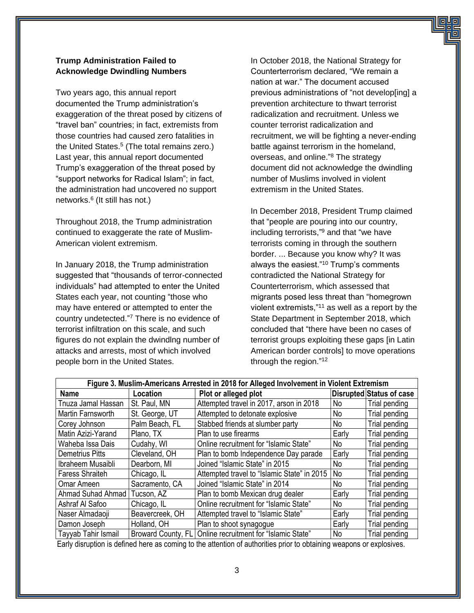# **Trump Administration Failed to Acknowledge Dwindling Numbers**

Two years ago, this annual report documented the Trump administration's exaggeration of the threat posed by citizens of "travel ban" countries; in fact, extremists from those countries had caused zero fatalities in the United States.<sup>5</sup> (The total remains zero.) Last year, this annual report documented Trump's exaggeration of the threat posed by "support networks for Radical Islam"; in fact, the administration had uncovered no support networks.<sup>6</sup> (It still has not.)

Throughout 2018, the Trump administration continued to exaggerate the rate of Muslim-American violent extremism.

In January 2018, the Trump administration suggested that "thousands of terror-connected individuals" had attempted to enter the United States each year, not counting "those who may have entered or attempted to enter the country undetected." <sup>7</sup> There is no evidence of terrorist infiltration on this scale, and such figures do not explain the dwindlng number of attacks and arrests, most of which involved people born in the United States.

In October 2018, the National Strategy for Counterterrorism declared, "We remain a nation at war." The document accused previous administrations of "not develop[ing] a prevention architecture to thwart terrorist radicalization and recruitment. Unless we counter terrorist radicalization and recruitment, we will be fighting a never-ending battle against terrorism in the homeland, overseas, and online."<sup>8</sup> The strategy document did not acknowledge the dwindling number of Muslims involved in violent extremism in the United States.

In December 2018, President Trump claimed that "people are pouring into our country, including terrorists,"<sup>9</sup> and that "we have terrorists coming in through the southern border. ... Because you know why? It was always the easiest."<sup>10</sup> Trump's comments contradicted the National Strategy for Counterterrorism, which assessed that migrants posed less threat than "homegrown violent extremists,"<sup>11</sup> as well as a report by the State Department in September 2018, which concluded that "there have been no cases of terrorist groups exploiting these gaps [in Latin American border controls] to move operations through the region."<sup>12</sup>

| Figure 3. Muslim-Americans Arrested in 2018 for Alleged Involvement in Violent Extremism |                    |                                             |       |                          |
|------------------------------------------------------------------------------------------|--------------------|---------------------------------------------|-------|--------------------------|
| Name                                                                                     | Location           | Plot or alleged plot                        |       | Disrupted Status of case |
| Tnuza Jamal Hassan                                                                       | St. Paul, MN       | Attempted travel in 2017, arson in 2018     | No.   | Trial pending            |
| Martin Farnsworth                                                                        | St. George, UT     | Attempted to detonate explosive             | No.   | Trial pending            |
| Corey Johnson                                                                            | Palm Beach, FL     | Stabbed friends at slumber party            | No.   | Trial pending            |
| Matin Azizi-Yarand                                                                       | Plano, TX          | Plan to use firearms                        | Early | Trial pending            |
| Waheba Issa Dais                                                                         | Cudahy, WI         | Online recruitment for "Islamic State"      | No.   | Trial pending            |
| <b>Demetrius Pitts</b>                                                                   | Cleveland, OH      | Plan to bomb Independence Day parade        | Early | Trial pending            |
| Ibraheem Musaibli                                                                        | Dearborn, MI       | Joined "Islamic State" in 2015              | No.   | Trial pending            |
| <b>Faress Shraiteh</b>                                                                   | Chicago, IL        | Attempted travel to "Islamic State" in 2015 | No    | Trial pending            |
| Omar Ameen                                                                               | Sacramento, CA     | Joined "Islamic State" in 2014              | No.   | Trial pending            |
| Ahmad Suhad Ahmad I                                                                      | Tucson, AZ         | Plan to bomb Mexican drug dealer            | Early | Trial pending            |
| Ashraf Al Safoo                                                                          | Chicago, IL        | Online recruitment for "Islamic State"      | No.   | Trial pending            |
| Naser Almadaoji                                                                          | Beavercreek, OH    | Attempted travel to "Islamic State"         | Early | Trial pending            |
| Damon Joseph                                                                             | Holland, OH        | Plan to shoot synagogue                     | Early | Trial pending            |
| Tayyab Tahir Ismail                                                                      | Broward County, FL | Online recruitment for "Islamic State"      | No.   | Trial pending            |

Early disruption is defined here as coming to the attention of authorities prior to obtaining weapons or explosives.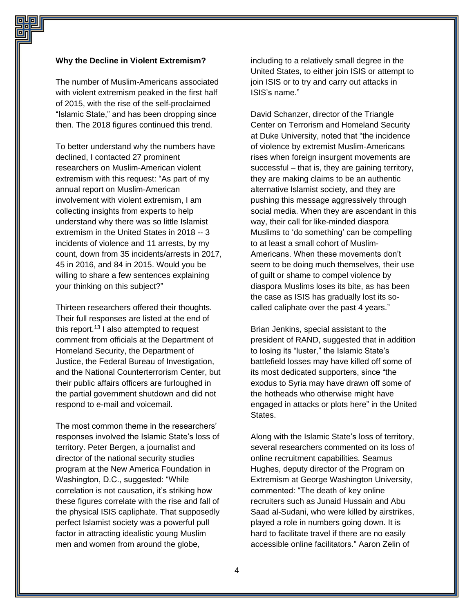#### **Why the Decline in Violent Extremism?**

The number of Muslim-Americans associated with violent extremism peaked in the first half of 2015, with the rise of the self-proclaimed "Islamic State," and has been dropping since then. The 2018 figures continued this trend.

To better understand why the numbers have declined, I contacted 27 prominent researchers on Muslim-American violent extremism with this request: "As part of my annual report on Muslim-American involvement with violent extremism, I am collecting insights from experts to help understand why there was so little Islamist extremism in the United States in 2018 -- 3 incidents of violence and 11 arrests, by my count, down from 35 incidents/arrests in 2017, 45 in 2016, and 84 in 2015. Would you be willing to share a few sentences explaining your thinking on this subject?"

Thirteen researchers offered their thoughts. Their full responses are listed at the end of this report.<sup>13</sup> I also attempted to request comment from officials at the Department of Homeland Security, the Department of Justice, the Federal Bureau of Investigation, and the National Counterterrorism Center, but their public affairs officers are furloughed in the partial government shutdown and did not respond to e-mail and voicemail.

The most common theme in the researchers' responses involved the Islamic State's loss of territory. Peter Bergen, a journalist and director of the national security studies program at the New America Foundation in Washington, D.C., suggested: "While correlation is not causation, it's striking how these figures correlate with the rise and fall of the physical ISIS capliphate. That supposedly perfect Islamist society was a powerful pull factor in attracting idealistic young Muslim men and women from around the globe,

including to a relatively small degree in the United States, to either join ISIS or attempt to join ISIS or to try and carry out attacks in ISIS's name."

David Schanzer, director of the Triangle Center on Terrorism and Homeland Security at Duke University, noted that "the incidence of violence by extremist Muslim-Americans rises when foreign insurgent movements are successful – that is, they are gaining territory, they are making claims to be an authentic alternative Islamist society, and they are pushing this message aggressively through social media. When they are ascendant in this way, their call for like-minded diaspora Muslims to 'do something' can be compelling to at least a small cohort of Muslim-Americans. When these movements don't seem to be doing much themselves, their use of guilt or shame to compel violence by diaspora Muslims loses its bite, as has been the case as ISIS has gradually lost its socalled caliphate over the past 4 years."

Brian Jenkins, special assistant to the president of RAND, suggested that in addition to losing its "luster," the Islamic State's battlefield losses may have killed off some of its most dedicated supporters, since "the exodus to Syria may have drawn off some of the hotheads who otherwise might have engaged in attacks or plots here" in the United States.

Along with the Islamic State's loss of territory, several researchers commented on its loss of online recruitment capabilities. Seamus Hughes, deputy director of the Program on Extremism at George Washington University, commented: "The death of key online recruiters such as Junaid Hussain and Abu Saad al-Sudani, who were killed by airstrikes, played a role in numbers going down. It is hard to facilitate travel if there are no easily accessible online facilitators." Aaron Zelin of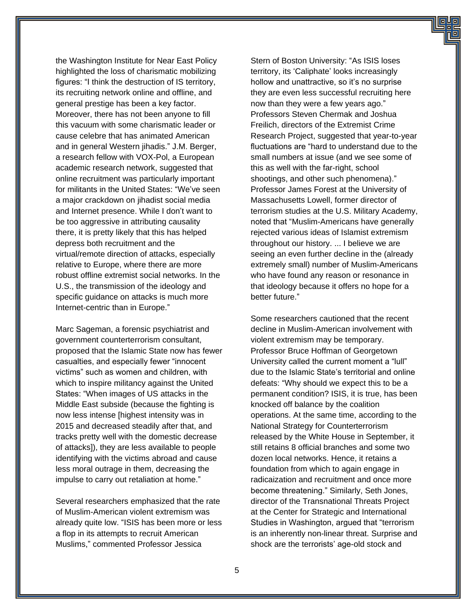the Washington Institute for Near East Policy highlighted the loss of charismatic mobilizing figures: "I think the destruction of IS territory, its recruiting network online and offline, and general prestige has been a key factor. Moreover, there has not been anyone to fill this vacuum with some charismatic leader or cause celebre that has animated American and in general Western jihadis." J.M. Berger, a research fellow with VOX-Pol, a European academic research network, suggested that online recruitment was particularly important for militants in the United States: "We've seen a major crackdown on jihadist social media and Internet presence. While I don't want to be too aggressive in attributing causality there, it is pretty likely that this has helped depress both recruitment and the virtual/remote direction of attacks, especially relative to Europe, where there are more robust offline extremist social networks. In the U.S., the transmission of the ideology and specific guidance on attacks is much more Internet-centric than in Europe."

Marc Sageman, a forensic psychiatrist and government counterterrorism consultant, proposed that the Islamic State now has fewer casualties, and especially fewer "innocent victims" such as women and children, with which to inspire militancy against the United States: "When images of US attacks in the Middle East subside (because the fighting is now less intense [highest intensity was in 2015 and decreased steadily after that, and tracks pretty well with the domestic decrease of attacks]), they are less available to people identifying with the victims abroad and cause less moral outrage in them, decreasing the impulse to carry out retaliation at home."

Several researchers emphasized that the rate of Muslim-American violent extremism was already quite low. "ISIS has been more or less a flop in its attempts to recruit American Muslims," commented Professor Jessica

Stern of Boston University: "As ISIS loses territory, its 'Caliphate' looks increasingly hollow and unattractive, so it's no surprise they are even less successful recruiting here now than they were a few years ago." Professors Steven Chermak and Joshua Freilich, directors of the Extremist Crime Research Project, suggested that year-to-year fluctuations are "hard to understand due to the small numbers at issue (and we see some of this as well with the far-right, school shootings, and other such phenomena)." Professor James Forest at the University of Massachusetts Lowell, former director of terrorism studies at the U.S. Military Academy, noted that "Muslim-Americans have generally rejected various ideas of Islamist extremism throughout our history. ... I believe we are seeing an even further decline in the (already extremely small) number of Muslim-Americans who have found any reason or resonance in that ideology because it offers no hope for a better future."

Some researchers cautioned that the recent decline in Muslim-American involvement with violent extremism may be temporary. Professor Bruce Hoffman of Georgetown University called the current moment a "lull" due to the Islamic State's territorial and online defeats: "Why should we expect this to be a permanent condition? ISIS, it is true, has been knocked off balance by the coalition operations. At the same time, according to the National Strategy for Counterterrorism released by the White House in September, it still retains 8 official branches and some two dozen local networks. Hence, it retains a foundation from which to again engage in radicaization and recruitment and once more become threatening." Similarly, Seth Jones, director of the Transnational Threats Project at the Center for Strategic and International Studies in Washington, argued that "terrorism is an inherently non-linear threat. Surprise and shock are the terrorists' age-old stock and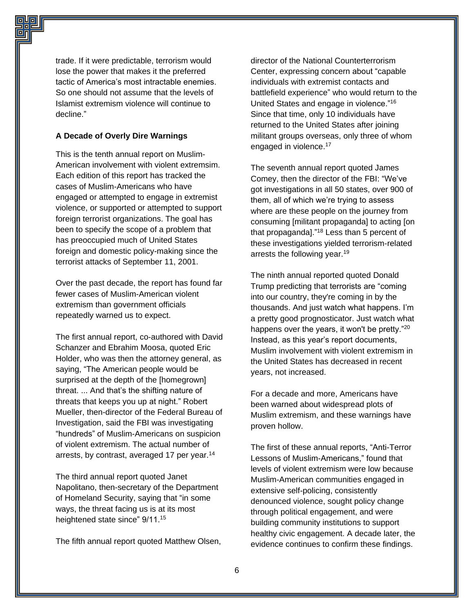trade. If it were predictable, terrorism would lose the power that makes it the preferred tactic of America's most intractable enemies. So one should not assume that the levels of Islamist extremism violence will continue to decline."

#### **A Decade of Overly Dire Warnings**

This is the tenth annual report on Muslim-American involvement with violent extremsim. Each edition of this report has tracked the cases of Muslim-Americans who have engaged or attempted to engage in extremist violence, or supported or attempted to support foreign terrorist organizations. The goal has been to specify the scope of a problem that has preoccupied much of United States foreign and domestic policy-making since the terrorist attacks of September 11, 2001.

Over the past decade, the report has found far fewer cases of Muslim-American violent extremism than government officials repeatedly warned us to expect.

The first annual report, co-authored with David Schanzer and Ebrahim Moosa, quoted Eric Holder, who was then the attorney general, as saying, "The American people would be surprised at the depth of the [homegrown] threat. ... And that's the shifting nature of threats that keeps you up at night." Robert Mueller, then-director of the Federal Bureau of Investigation, said the FBI was investigating "hundreds" of Muslim-Americans on suspicion of violent extremism. The actual number of arrests, by contrast, averaged 17 per year.<sup>14</sup>

The third annual report quoted Janet Napolitano, then-secretary of the Department of Homeland Security, saying that "in some ways, the threat facing us is at its most heightened state since" 9/11.<sup>15</sup>

The fifth annual report quoted Matthew Olsen,

director of the National Counterterrorism Center, expressing concern about "capable individuals with extremist contacts and battlefield experience" who would return to the United States and engage in violence."<sup>16</sup> Since that time, only 10 individuals have returned to the United States after joining militant groups overseas, only three of whom engaged in violence.<sup>17</sup>

The seventh annual report quoted James Comey, then the director of the FBI: "We've got investigations in all 50 states, over 900 of them, all of which we're trying to assess where are these people on the journey from consuming [militant propaganda] to acting [on that propaganda]."<sup>18</sup> Less than 5 percent of these investigations yielded terrorism-related arrests the following year.<sup>19</sup>

The ninth annual reported quoted Donald Trump predicting that terrorists are "coming into our country, they're coming in by the thousands. And just watch what happens. I'm a pretty good prognosticator. Just watch what happens over the years, it won't be pretty."<sup>20</sup> Instead, as this year's report documents, Muslim involvement with violent extremism in the United States has decreased in recent years, not increased.

For a decade and more, Americans have been warned about widespread plots of Muslim extremism, and these warnings have proven hollow.

The first of these annual reports, "Anti-Terror Lessons of Muslim-Americans," found that levels of violent extremism were low because Muslim-American communities engaged in extensive self-policing, consistently denounced violence, sought policy change through political engagement, and were building community institutions to support healthy civic engagement. A decade later, the evidence continues to confirm these findings.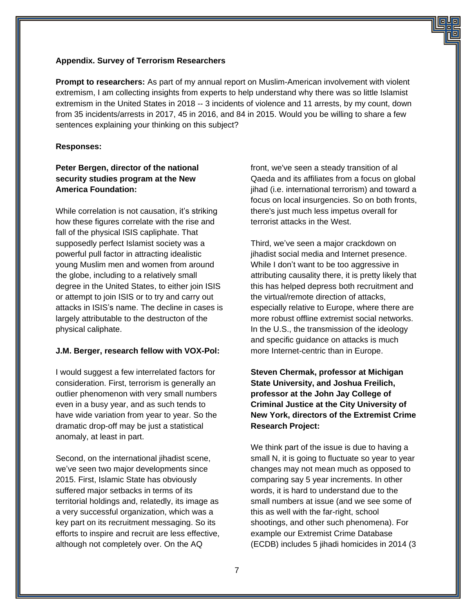#### **Appendix. Survey of Terrorism Researchers**

**Prompt to researchers:** As part of my annual report on Muslim-American involvement with violent extremism, I am collecting insights from experts to help understand why there was so little Islamist extremism in the United States in 2018 -- 3 incidents of violence and 11 arrests, by my count, down from 35 incidents/arrests in 2017, 45 in 2016, and 84 in 2015. Would you be willing to share a few sentences explaining your thinking on this subject?

#### **Responses:**

# **Peter Bergen, director of the national security studies program at the New America Foundation:**

While correlation is not causation, it's striking how these figures correlate with the rise and fall of the physical ISIS capliphate. That supposedly perfect Islamist society was a powerful pull factor in attracting idealistic young Muslim men and women from around the globe, including to a relatively small degree in the United States, to either join ISIS or attempt to join ISIS or to try and carry out attacks in ISIS's name. The decline in cases is largely attributable to the destructon of the physical caliphate.

#### **J.M. Berger, research fellow with VOX-Pol:**

I would suggest a few interrelated factors for consideration. First, terrorism is generally an outlier phenomenon with very small numbers even in a busy year, and as such tends to have wide variation from year to year. So the dramatic drop-off may be just a statistical anomaly, at least in part.

Second, on the international jihadist scene, we've seen two major developments since 2015. First, Islamic State has obviously suffered major setbacks in terms of its territorial holdings and, relatedly, its image as a very successful organization, which was a key part on its recruitment messaging. So its efforts to inspire and recruit are less effective, although not completely over. On the AQ

front, we've seen a steady transition of al Qaeda and its affiliates from a focus on global jihad (i.e. international terrorism) and toward a focus on local insurgencies. So on both fronts, there's just much less impetus overall for terrorist attacks in the West.

Third, we've seen a major crackdown on jihadist social media and Internet presence. While I don't want to be too aggressive in attributing causality there, it is pretty likely that this has helped depress both recruitment and the virtual/remote direction of attacks, especially relative to Europe, where there are more robust offline extremist social networks. In the U.S., the transmission of the ideology and specific guidance on attacks is much more Internet-centric than in Europe.

# **Steven Chermak, professor at Michigan State University, and Joshua Freilich, professor at the John Jay College of Criminal Justice at the City University of New York, directors of the Extremist Crime Research Project:**

We think part of the issue is due to having a small N, it is going to fluctuate so year to year changes may not mean much as opposed to comparing say 5 year increments. In other words, it is hard to understand due to the small numbers at issue (and we see some of this as well with the far-right, school shootings, and other such phenomena). For example our Extremist Crime Database (ECDB) includes 5 jihadi homicides in 2014 (3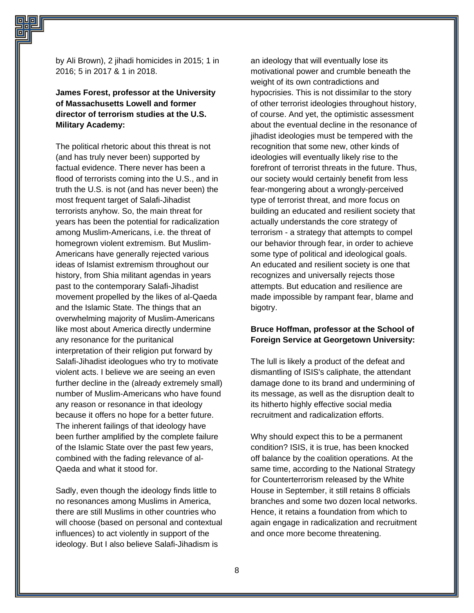by Ali Brown), 2 jihadi homicides in 2015; 1 in 2016; 5 in 2017 & 1 in 2018.

**James Forest, professor at the University of Massachusetts Lowell and former director of terrorism studies at the U.S. Military Academy:**

The political rhetoric about this threat is not (and has truly never been) supported by factual evidence. There never has been a flood of terrorists coming into the U.S., and in truth the U.S. is not (and has never been) the most frequent target of Salafi-Jihadist terrorists anyhow. So, the main threat for years has been the potential for radicalization among Muslim-Americans, i.e. the threat of homegrown violent extremism. But Muslim-Americans have generally rejected various ideas of Islamist extremism throughout our history, from Shia militant agendas in years past to the contemporary Salafi-Jihadist movement propelled by the likes of al-Qaeda and the Islamic State. The things that an overwhelming majority of Muslim-Americans like most about America directly undermine any resonance for the puritanical interpretation of their religion put forward by Salafi-Jihadist ideologues who try to motivate violent acts. I believe we are seeing an even further decline in the (already extremely small) number of Muslim-Americans who have found any reason or resonance in that ideology because it offers no hope for a better future. The inherent failings of that ideology have been further amplified by the complete failure of the Islamic State over the past few years, combined with the fading relevance of al-Qaeda and what it stood for.

Sadly, even though the ideology finds little to no resonances among Muslims in America, there are still Muslims in other countries who will choose (based on personal and contextual influences) to act violently in support of the ideology. But I also believe Salafi-Jihadism is

an ideology that will eventually lose its motivational power and crumble beneath the weight of its own contradictions and hypocrisies. This is not dissimilar to the story of other terrorist ideologies throughout history, of course. And yet, the optimistic assessment about the eventual decline in the resonance of jihadist ideologies must be tempered with the recognition that some new, other kinds of ideologies will eventually likely rise to the forefront of terrorist threats in the future. Thus, our society would certainly benefit from less fear-mongering about a wrongly-perceived type of terrorist threat, and more focus on building an educated and resilient society that actually understands the core strategy of terrorism - a strategy that attempts to compel our behavior through fear, in order to achieve some type of political and ideological goals. An educated and resilient society is one that recognizes and universally rejects those attempts. But education and resilience are made impossible by rampant fear, blame and bigotry.

# **Bruce Hoffman, professor at the School of Foreign Service at Georgetown University:**

The lull is likely a product of the defeat and dismantling of ISIS's caliphate, the attendant damage done to its brand and undermining of its message, as well as the disruption dealt to its hitherto highly effective social media recruitment and radicalization efforts.

Why should expect this to be a permanent condition? ISIS, it is true, has been knocked off balance by the coalition operations. At the same time, according to the National Strategy for Counterterrorism released by the White House in September, it still retains 8 officials branches and some two dozen local networks. Hence, it retains a foundation from which to again engage in radicalization and recruitment and once more become threatening.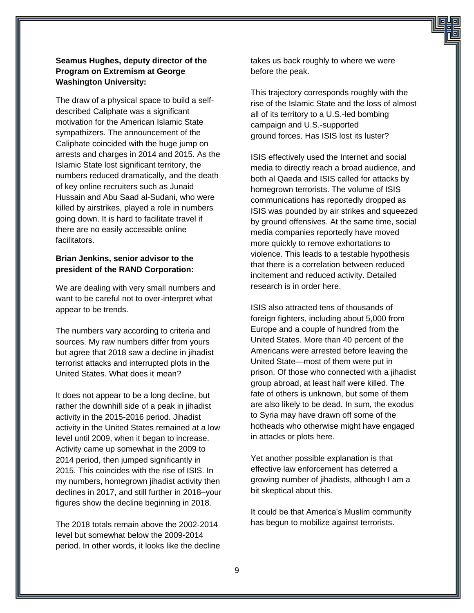# **Seamus Hughes, deputy director of the Program on Extremism at George Washington University:**

The draw of a physical space to build a selfdescribed Caliphate was a significant motivation for the American Islamic State sympathizers. The announcement of the Caliphate coincided with the huge jump on arrests and charges in 2014 and 2015. As the Islamic State lost significant territory, the numbers reduced dramatically, and the death of key online recruiters such as Junaid Hussain and Abu Saad al-Sudani, who were killed by airstrikes, played a role in numbers going down. It is hard to facilitate travel if there are no easily accessible online facilitators.

#### **Brian Jenkins, senior advisor to the president of the RAND Corporation:**

We are dealing with very small numbers and want to be careful not to over-interpret what appear to be trends.

The numbers vary according to criteria and sources. My raw numbers differ from yours but agree that 2018 saw a decline in jihadist terrorist attacks and interrupted plots in the United States. What does it mean?

It does not appear to be a long decline, but rather the downhill side of a peak in jihadist activity in the 2015-2016 period. Jihadist activity in the United States remained at a low level until 2009, when it began to increase. Activity came up somewhat in the 2009 to 2014 period, then jumped significantly in 2015. This coincides with the rise of ISIS. In my numbers, homegrown jihadist activity then declines in 2017, and still further in 2018–your figures show the decline beginning in 2018.

The 2018 totals remain above the 2002-2014 level but somewhat below the 2009-2014 period. In other words, it looks like the decline takes us back roughly to where we were before the peak.

This trajectory corresponds roughly with the rise of the Islamic State and the loss of almost all of its territory to a U.S.-led bombing campaign and U.S.-supported ground forces. Has ISIS lost its luster?

ISIS effectively used the Internet and social media to directly reach a broad audience, and both al Qaeda and ISIS called for attacks by homegrown terrorists. The volume of ISIS communications has reportedly dropped as ISIS was pounded by air strikes and squeezed by ground offensives. At the same time, social media companies reportedly have moved more quickly to remove exhortations to violence. This leads to a testable hypothesis that there is a correlation between reduced incitement and reduced activity. Detailed research is in order here.

ISIS also attracted tens of thousands of foreign fighters, including about 5,000 from Europe and a couple of hundred from the United States. More than 40 percent of the Americans were arrested before leaving the United State—most of them were put in prison. Of those who connected with a jihadist group abroad, at least half were killed. The fate of others is unknown, but some of them are also likely to be dead. In sum, the exodus to Syria may have drawn off some of the hotheads who otherwise might have engaged in attacks or plots here.

Yet another possible explanation is that effective law enforcement has deterred a growing number of jihadists, although I am a bit skeptical about this.

It could be that America's Muslim community has begun to mobilize against terrorists.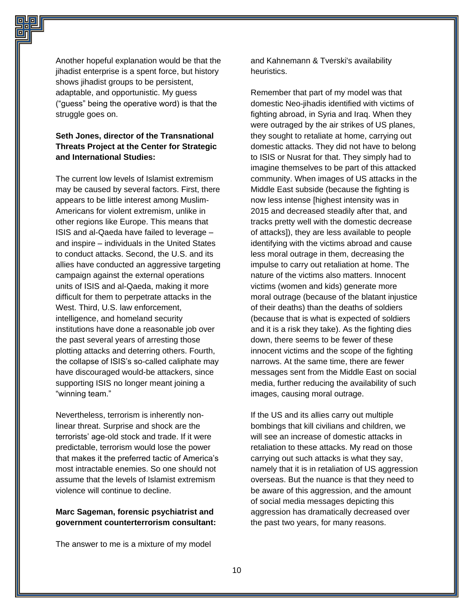Another hopeful explanation would be that the jihadist enterprise is a spent force, but history shows jihadist groups to be persistent, adaptable, and opportunistic. My guess ("guess" being the operative word) is that the struggle goes on.

# **Seth Jones, director of the Transnational Threats Project at the Center for Strategic and International Studies:**

The current low levels of Islamist extremism may be caused by several factors. First, there appears to be little interest among Muslim-Americans for violent extremism, unlike in other regions like Europe. This means that ISIS and al-Qaeda have failed to leverage – and inspire – individuals in the United States to conduct attacks. Second, the U.S. and its allies have conducted an aggressive targeting campaign against the external operations units of ISIS and al-Qaeda, making it more difficult for them to perpetrate attacks in the West. Third, U.S. law enforcement, intelligence, and homeland security institutions have done a reasonable job over the past several years of arresting those plotting attacks and deterring others. Fourth, the collapse of ISIS's so-called caliphate may have discouraged would-be attackers, since supporting ISIS no longer meant joining a "winning team."

Nevertheless, terrorism is inherently nonlinear threat. Surprise and shock are the terrorists' age-old stock and trade. If it were predictable, terrorism would lose the power that makes it the preferred tactic of America's most intractable enemies. So one should not assume that the levels of Islamist extremism violence will continue to decline.

#### **Marc Sageman, forensic psychiatrist and government counterterrorism consultant:**

The answer to me is a mixture of my model

and Kahnemann & Tverski's availability heuristics.

Remember that part of my model was that domestic Neo-jihadis identified with victims of fighting abroad, in Syria and Iraq. When they were outraged by the air strikes of US planes, they sought to retaliate at home, carrying out domestic attacks. They did not have to belong to ISIS or Nusrat for that. They simply had to imagine themselves to be part of this attacked community. When images of US attacks in the Middle East subside (because the fighting is now less intense [highest intensity was in 2015 and decreased steadily after that, and tracks pretty well with the domestic decrease of attacks]), they are less available to people identifying with the victims abroad and cause less moral outrage in them, decreasing the impulse to carry out retaliation at home. The nature of the victims also matters. Innocent victims (women and kids) generate more moral outrage (because of the blatant injustice of their deaths) than the deaths of soldiers (because that is what is expected of soldiers and it is a risk they take). As the fighting dies down, there seems to be fewer of these innocent victims and the scope of the fighting narrows. At the same time, there are fewer messages sent from the Middle East on social media, further reducing the availability of such images, causing moral outrage.

If the US and its allies carry out multiple bombings that kill civilians and children, we will see an increase of domestic attacks in retaliation to these attacks. My read on those carrying out such attacks is what they say, namely that it is in retaliation of US aggression overseas. But the nuance is that they need to be aware of this aggression, and the amount of social media messages depicting this aggression has dramatically decreased over the past two years, for many reasons.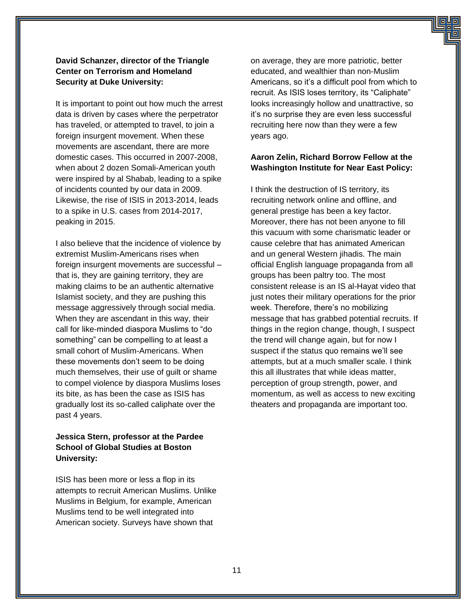### **David Schanzer, director of the Triangle Center on Terrorism and Homeland Security at Duke University:**

It is important to point out how much the arrest data is driven by cases where the perpetrator has traveled, or attempted to travel, to join a foreign insurgent movement. When these movements are ascendant, there are more domestic cases. This occurred in 2007-2008, when about 2 dozen Somali-American youth were inspired by al Shabab, leading to a spike of incidents counted by our data in 2009. Likewise, the rise of ISIS in 2013-2014, leads to a spike in U.S. cases from 2014-2017, peaking in 2015.

I also believe that the incidence of violence by extremist Muslim-Americans rises when foreign insurgent movements are successful – that is, they are gaining territory, they are making claims to be an authentic alternative Islamist society, and they are pushing this message aggressively through social media. When they are ascendant in this way, their call for like-minded diaspora Muslims to "do something" can be compelling to at least a small cohort of Muslim-Americans. When these movements don't seem to be doing much themselves, their use of guilt or shame to compel violence by diaspora Muslims loses its bite, as has been the case as ISIS has gradually lost its so-called caliphate over the past 4 years.

# **Jessica Stern, professor at the Pardee School of Global Studies at Boston University:**

ISIS has been more or less a flop in its attempts to recruit American Muslims. Unlike Muslims in Belgium, for example, American Muslims tend to be well integrated into American society. Surveys have shown that

on average, they are more patriotic, better educated, and wealthier than non-Muslim Americans, so it's a difficult pool from which to recruit. As ISIS loses territory, its "Caliphate" looks increasingly hollow and unattractive, so it's no surprise they are even less successful recruiting here now than they were a few years ago.

#### **Aaron Zelin, Richard Borrow Fellow at the Washington Institute for Near East Policy:**

I think the destruction of IS territory, its recruiting network online and offline, and general prestige has been a key factor. Moreover, there has not been anyone to fill this vacuum with some charismatic leader or cause celebre that has animated American and un general Western jihadis. The main official English language propaganda from all groups has been paltry too. The most consistent release is an IS al-Hayat video that just notes their military operations for the prior week. Therefore, there's no mobilizing message that has grabbed potential recruits. If things in the region change, though, I suspect the trend will change again, but for now I suspect if the status quo remains we'll see attempts, but at a much smaller scale. I think this all illustrates that while ideas matter, perception of group strength, power, and momentum, as well as access to new exciting theaters and propaganda are important too.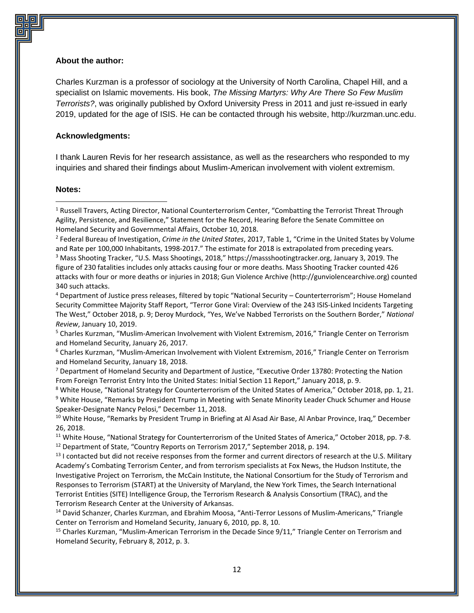#### **About the author:**

Charles Kurzman is a professor of sociology at the University of North Carolina, Chapel Hill, and a specialist on Islamic movements. His book, *The Missing Martyrs: Why Are There So Few Muslim Terrorists?*, was originally published by Oxford University Press in 2011 and just re-issued in early 2019, updated for the age of ISIS. He can be contacted through his website, http://kurzman.unc.edu.

#### **Acknowledgments:**

I thank Lauren Revis for her research assistance, as well as the researchers who responded to my inquiries and shared their findings about Muslim-American involvement with violent extremism.

#### **Notes:**

 $\overline{\phantom{a}}$ 

2 Federal Bureau of Investigation, *Crime in the United States*, 2017, Table 1, "Crime in the United States by Volume and Rate per 100,000 Inhabitants, 1998‐2017." The estimate for 2018 is extrapolated from preceding years.

<sup>3</sup> Mass Shooting Tracker, "U.S. Mass Shootings, 2018," https://massshootingtracker.org, January 3, 2019. The figure of 230 fatalities includes only attacks causing four or more deaths. Mass Shooting Tracker counted 426 attacks with four or more deaths or injuries in 2018; Gun Violence Archive (http://gunviolencearchive.org) counted 340 such attacks.

<sup>5</sup> Charles Kurzman, "Muslim-American Involvement with Violent Extremism, 2016," Triangle Center on Terrorism and Homeland Security, January 26, 2017.

<sup>6</sup> Charles Kurzman, "Muslim-American Involvement with Violent Extremism, 2016," Triangle Center on Terrorism and Homeland Security, January 18, 2018.

<sup>7</sup> Department of Homeland Security and Department of Justice, "Executive Order 13780: Protecting the Nation From Foreign Terrorist Entry Into the United States: Initial Section 11 Report," January 2018, p. 9.

<sup>8</sup> White House, "National Strategy for Counterterrorism of the United States of America," October 2018, pp. 1, 21. <sup>9</sup> White House, "Remarks by President Trump in Meeting with Senate Minority Leader Chuck Schumer and House Speaker-Designate Nancy Pelosi," December 11, 2018.

<sup>10</sup> White House, "Remarks by President Trump in Briefing at Al Asad Air Base, Al Anbar Province, Iraq," December 26, 2018.

<sup>11</sup> White House, "National Strategy for Counterterrorism of the United States of America," October 2018, pp. 7-8. <sup>12</sup> Department of State, "Country Reports on Terrorism 2017," September 2018, p. 194.

<sup>13</sup> I contacted but did not receive responses from the former and current directors of research at the U.S. Military Academy's Combating Terrorism Center, and from terrorism specialists at Fox News, the Hudson Institute, the Investigative Project on Terrorism, the McCain Institute, the National Consortium for the Study of Terrorism and Responses to Terrorism (START) at the University of Maryland, the New York Times, the Search International Terrorist Entities (SITE) Intelligence Group, the Terrorism Research & Analysis Consortium (TRAC), and the Terrorism Research Center at the University of Arkansas.

<sup>14</sup> David Schanzer, Charles Kurzman, and Ebrahim Moosa, "Anti-Terror Lessons of Muslim-Americans," Triangle Center on Terrorism and Homeland Security, January 6, 2010, pp. 8, 10.

<sup>15</sup> Charles Kurzman, "Muslim-American Terrorism in the Decade Since 9/11," Triangle Center on Terrorism and Homeland Security, February 8, 2012, p. 3.

<sup>1</sup> Russell Travers, Acting Director, National Counterterrorism Center, "Combatting the Terrorist Threat Through Agility, Persistence, and Resilience," Statement for the Record, Hearing Before the Senate Committee on Homeland Security and Governmental Affairs, October 10, 2018.

<sup>4</sup> Department of Justice press releases, filtered by topic "National Security – Counterterrorism"; House Homeland Security Committee Majority Staff Report, "Terror Gone Viral: Overview of the 243 ISIS-Linked Incidents Targeting The West," October 2018, p. 9; Deroy Murdock, "Yes, We've Nabbed Terrorists on the Southern Border," *National Review*, January 10, 2019.